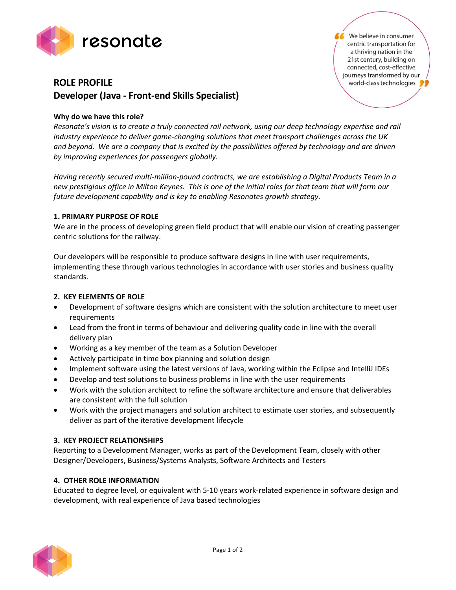

# **ROLE PROFILE Developer (Java - Front-end Skills Specialist)**

## **Why do we have this role?**

*Resonate's vision is to create a truly connected rail network, using our deep technology expertise and rail industry experience to deliver game-changing solutions that meet transport challenges across the UK and beyond. We are a company that is excited by the possibilities offered by technology and are driven by improving experiences for passengers globally.*

*Having recently secured multi-million-pound contracts, we are establishing a Digital Products Team in a new prestigious office in Milton Keynes. This is one of the initial roles for that team that will form our future development capability and is key to enabling Resonates growth strategy.*

### **1. PRIMARY PURPOSE OF ROLE**

We are in the process of developing green field product that will enable our vision of creating passenger centric solutions for the railway.

Our developers will be responsible to produce software designs in line with user requirements, implementing these through various technologies in accordance with user stories and business quality standards.

### **2. KEY ELEMENTS OF ROLE**

- Development of software designs which are consistent with the solution architecture to meet user requirements
- Lead from the front in terms of behaviour and delivering quality code in line with the overall delivery plan
- Working as a key member of the team as a Solution Developer
- Actively participate in time box planning and solution design
- Implement software using the latest versions of Java, working within the Eclipse and IntelliJ IDEs
- Develop and test solutions to business problems in line with the user requirements
- Work with the solution architect to refine the software architecture and ensure that deliverables are consistent with the full solution
- Work with the project managers and solution architect to estimate user stories, and subsequently deliver as part of the iterative development lifecycle

### **3. KEY PROJECT RELATIONSHIPS**

Reporting to a Development Manager, works as part of the Development Team, closely with other Designer/Developers, Business/Systems Analysts, Software Architects and Testers

### **4. OTHER ROLE INFORMATION**

Educated to degree level, or equivalent with 5-10 years work-related experience in software design and development, with real experience of Java based technologies



We believe in consumer centric transportation for a thriving nation in the 21st century, building on connected, cost-effective journeys transformed by our world-class technologies